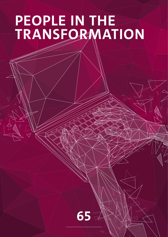# **PEOPLE IN THE TRANSFORMATION**

**65**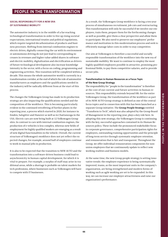# **SOCIAL RESPONSIBILITY FOR A NEW ERA OF SUSTAINABLE MOBILITY**

The automotive industry is in the middle of a far-reaching technological transformation in order to live up rising societal expectations, international treaties and political regulations, which require targeted decarbonization of products and business processes. Shifting from internal combustion engines to electric drives, digitally connecting the car with its environment or autonomous driving do not just lead to corresponding increases in revenues and higher value-added shares in software and electric mobility, digitalization and electrification as drivers of future technological development also increase knowledge intensity in the sector, with a focus on coding, programming and engineering activities. This transition will be completed within a decade. This means the whole automotive world is currently in a transformation corridor, at the end of which the role of automotive manufacturers as employers and the qualifications needed in the industry will be radically different from at the start of this process.

The changes the Volkswagen Group has made in its production strategy are also impacting the qualifications needed and the composition of the workforce. This is becoming particularly evident in the continued retrofitting of further plants in the reporting year, a process which started in 2020, for instance in Emden, Salzgitter and Hanover as well as in Chattanooga in the USA. Electric cars are now being built at 12 Volkswagen Group sites. In contrast to cars with internal combustion engines, the production of e-vehicles is less complex, whereas new fields of employment for highly qualified workers are emerging as a result of new digital functionalities in the vehicle. Overall, the current structure of Volkswagen's workforce does not yet reflect the expected changes; for example, around half of employees continue to work in manual jobs in production.

It is also to be expected that the transition to NEW AUTO and the transformation into a software-driven business could lead to asynchronicity in human capital development, for which it is vital to prepare. For example, a surplus of staff may arise in traditional areas, while a shortage is probable on talent markets for tech professions, where businesses such as Volkswagen will have to compete with IT businesses.

As a result, the Volkswagen Group workforce is facing a ten-year process of simultaneous recruitment, job cuts and restructuring. This transformation will only be successful if we involve our employees, train them, prepare them for the forthcoming changes as well as possible, give them a clear perspective and allow them to participate. We also need to preserve our employees' performance and motivation in this modernization process and seek to efficiently manage labor costs in order to stay competitive.

Our aim at Volkswagen is therefore a successful and socially responsible transformation of the workforce into the new era of sustainable mobility. We want to continue to employ the most highly qualified employees possible in attractive, promising professional fields, to pay them competitive salaries, and to provide secure jobs.

# **Transformation in Human Resources as a Focus Topic of the New Group Strategy**

The responsibility for "people in the transformation" is therefore at the core of our current and future activities in human resources. This responsibility extends beyond HR: for the entire Volkswagen Group, the transformation of the workforce as part of its NEW AUTO Group strategy is defined as one of the central focus topics and in connection with this has been launched as a separate Group initiative. The **Group People Strategy** entitled "Transform to Tech", which was also adopted by the Group Board of Management in the reporting year, plays a key role here. In adopting this new strategy, the Volkswagen Group is continuing with the key, successful approaches contained in its Human Resources policy. These include the pronounced stakeholder focus in corporate governance, comprehensive participation rights for employees, outstanding training opportunities and the principle of long-term service through systematic employee retention. and remuneration that is fair and transparent. Throughout the Group, we offer individual remuneration components for nonunion employees that we continuously update to reflect new working realities and business models.

At the same time, the new Group people strategy is setting innovative trends: the employee experience is being systematically improved, teams, as the most important units in the company's organization, are being strengthened and modern forms of working such as agile working are set to be expanded. In this way, we can increase our employer attractiveness and raise our organization's performance.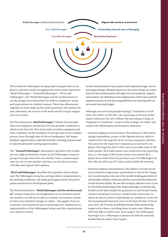

This is why the Volkswagen Group people strategy looks at employees and their needs throughout the entire work experience: "Me@Volkswagen", "Teams@Volkswagen", "All of us@ Volkswagen" and "We@Volkswagen and the world around us" are the perspectives from which we address employees' needs and expectations in a holistic manner. These four dimensions together are what make up the work experience, job satisfaction and, ultimately, the success of the work and the Group's integration into society.

The first dimension,"**Me@Volkswagen**", follows the principle that every employee should have the best possible conditions in which to do their job. That starts with excellent equipment and tools, continues via the avoidance of red tape and overly complex process steps through state-of-the-art workspaces, 360-degree feedback opportunities, individual health coaching and personally tailored advanced training opportunities.

The "**Teams@Volkswagen**" dimension is pivotal to the Group's success: high-performance teams in the Volkswagen Group are groups of people that trust one another, have a common goal and can rely on one another and that can also discuss issues critically and express their opinion.

"**All of us@Volkswagen**" describes the corporate culture dimension. The Volkswagen Group has a strong culture, unique products, fair working conditions, safe work, good opportunities for participation and attractive development paths.

The fourth dimension, **"We@Volkswagen and the world around us"**: without long-term social legitimacy at our locations and in our markets, we will not be able to continue our business model in times of accelerated changes in values – this applies from an economic, environmental and social perspective. Employees are representatives of the Volkswagen Group, and they communicate our values to society.

As the transformation's key projects and expansion stages, we are pursuing strategic HR planning across the entire Group, an expert basis for the transformation through external academic support and analysis, the definition of an Employment 2030 vision and the implementation of new learning platforms for training with an increased training budget.

Although our new Group people strategy "Transform to Tech" came into effect in fall 2021, the reporting on the key performance indicators for 2021 follows the preceding strategy of "Empower to Transform". As part of the strategy, we collect and analyze the following key performance indicators:

- Internal employer attractiveness: The indicator is derived by asking respondents, as part of the Opinion Survey, which is conducted in the majority of our Group companies, whether they perceive the respective company as an attractive employer. The target for 2025 is 89.1 out of a possible total of 100 index points. 86.8 index points were achieved in the reporting year, i.e. the target of 88.4 index points was missed. 88.2 points were achieved in the previous year. For Volkswagen AG, the value for 2021 was 87.7 index points (2020: 86.9 points).
- External employer attractiveness: The ability to recruit top talent is of decisive importance, particularly in view of the Company's transformation into one of the world's leading providers of sustainable mobility solutions and the associated development of new business fields. We use this strategic indicator once a year to check the positioning of the major passenger-car-producing brands on the labor market for graduates in each brand's home country. Rankings in surveys conducted by Universum, in which we aim to achieve individually set, ambitious scores for the Group brands featured, serve as the basis for this. In fiscal year 2021, the Porsche and ŠKODA brands fully achieved the targets set for them, exceeding them in some cases. Whereas SEAT was able to realize some of its targets, the Volkswagen Passenger Cars, Volkswagen Commercial Vehicles and Audi brands did not achieve their targets.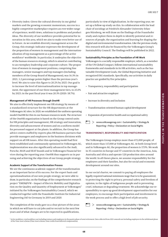• Diversity index: Given the cultural diversity in our global markets and the growing economic momentum, success in a highly competitive marketplace requires an ever-wider range of experience, world views, solutions to problems and product ideas. The diversity of our workforce provides potential for innovation in this area, which we aim to make even better use of in future. As we establish diversity management across the Group, this strategic indicator expresses the development of the proportion of women in management and the internationalization of top management as a percentage of the active workforce<sup>1</sup> worldwide. In particular, it underpins the objective of the human resources strategy, which is aimed at contributing to an exemplary leadership and corporate culture. The proportion of women in management positions, comprising line managers, senior managers and top managers (including members of the Group Board of Management), was 16.3% in 2021, 1.2 percentage points higher than the previous year's level. We aim to raise this figure to 20.2% by 2025. Our goal is to increase the level of internationalization in top management, the uppermost of our three management tiers, to 25.0% by 2025; in the past fiscal year it was 20.3% (2020: 18.7%).

#### **Management of HR Processes through OneHR**

We aim to effectively implement our HR strategy by means of a standardized structure for the HR departments at the Volkswagen AG sites. In 2020, we established the uniform operating model OneHR for this in our human resources work. The structure of the OneHR organization is based on the Group control units for HR principles and management, HR strategy and innovation, diversity and advancement of women and on a uniform model for personnel support at the plants. In addition, the Group has advice centers staffed by experts plus HR business partners that provide managers and employees in the business divisions with support on all HR issues. After this operating model had first been established and continuously optimized in Volkswagen AG, implementation was also significantly advanced in the Audi, Porsche, MAN and SEAT brands and in Volkswagen Financial Services during the reporting year. OneHR thus supports us in pursuing and achieving the objectives of our Group people strategy.

#### **Academic Support of the Transformation Process**

We see the continuous academic support of the transformation as an important factor of its success. For the expert basis and operationalization of our new people strategy, we were able to draw, in particular, on the findings of the comprehensive research project "EMDI@VW – Impact of Electric Mobility and Digitalization on the Quality and Quantity of Employment at Volkswagen" initiated by the Volkswagen Sustainability Council, which we conducted together with the Fraunhofer Institute for Industrial Engineering IAO in Germany in 2019 and 2020.

The completion of the study gave us a clear picture of the areas in which we will have to cut jobs and/or recruit in the next few years and of what changes are to be expected in qualifications, particularly in view of digitalization. In the reporting year, we set up a follow-up study on this. In collaboration with the lead chair of sociology at Friedrich-Alexander University Erlangen-Nürnberg, we will draw on the findings of the Fraunhofer study and explore them in depth to identify potential and resources of people, the organization and learning for shaping the digital and environmental transformation. Like the previous study, this research will also be financed by the Volkswagen Group's Sustainability Council. The findings will be published in 2022.

#### **Sustainability Principles as the Foundation of HR Work**

Volkswagen is a socially responsible employer, which, as a member of the UN Global Compact, follows international sustainability frameworks and standards in its HR activities, such as the Sustainable Development Goals, the Global Reporting Initiative and recognized ESG standards. Specifically, our activities in daily practice are guided by five principles:

- Transparency, responsibility and participation
- Fair and attractive employer
- Increase in diversity and inclusion
- Transformation-oriented human capital development
- Expansion of preventive health and occupational safety
- $\overline{\phantom{a}}\hspace{0.1cm}>\hspace{0.1cm}$  www.volkswagenag.com > Sustainability > Strategy & Reporting > Policy > Declaration on Social Rights

#### **TRANSPARENCY, RESPONSIBILITY AND PARTICIPATION**

The Volkswagen Group employs more than 672,000 people, of which more than 117,000 at Volkswagen AG. At both Group level and in Volkswagen AG, the proportion of women is 17.9%. We work in 35 countries in Europe and 37 countries in the Americas, Asia, Australia and Africa and operate 120 production sites around the world. In all theses places, we assume responsibility for the employees and their families, but also for social and economic development around our sites.

In our social charter, we commit to paying all employees the legally required national minimum wage that is to be guaranteed, to protecting the right to privacy, personal safety and freedom of opinion, to the rights of indigenous people and to preventing cruel, inhuman or degrading treatment. We acknowledge our responsibility to open up good development opportunities for our employees, to encourage their participation and involvement in the work process and to offer a high level of job security.

www.volkswagenag.com > Sustainability > Strategy & Reporting > Policy > Declaration on Social Rights

<sup>&</sup>lt;sup>1</sup> Active workforce: total workforce not including trainees and employees in the passive phase of semi-retirement. Data collected from 2021 onwards not including employees in the withdrawal phase of the Time Asset scheme (Time Asset scheme: time credits from deferred compensation).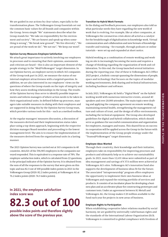We are guided in our actions by clear values, especially in the transformation phase. The Volkswagen Group Essentials set out the common basic values for all brands and companies within the Group. Seven simple "We" statements describe what the Group stands for: "We take on responsibility for the environment and society", "We are honest and speak up when something is wrong", "We break new ground", "We live diversity", "We are proud of the work we do", "We not me", "We keep our word".

#### **Opinion Survey Measures Employee Satisfaction**

We attach great importance to actively involving our employees in processes and to ensuring that their opinions, assessments and criticism are heard – this is also an important element of the people strategy in the "Me@Volkswagen" target dimension. In our Opinion Survey, an employee survey in which 165 companies of the Group took part in 2021, we measure the status of our internal employer attractiveness with a targeted question. In addition, we are also interested in our employees' views on the questions of where the Group stands on the topic of integrity and how they assess working relationships in the Group. The results of the Opinion Survey thus serve to identify possible improvements and inform managers of where action needs to be taken in their organizational units. In defined follow-up processes, managers take suitable measures in dialog with their employees and are supported in doing this by the Opinion Survey Group team, which provides various tools for this – such as a method toolbox.

At the regular managers' measures discussion, a discussion of the measures derived and their implementation status takes place using a top-down approach, beginning with the respective division manager/Board member and proceeding to the lowest management level. The aim is to ensure the implementation of the measures derived from the organizational units in a lasting manner.

The 2021 Opinion Survey was carried out at 165 companies in 40 countries. 466,021 of the 596,905 employees in the companies surveyed responded. This is equivalent to a response rate of 78%. The employee satisfaction index, which is calculated from 22 questions, is the principal indicator of the Opinion Survey. It is obtained from the sum of all the responses to the survey that were given on this topic and was 82.3 out of 100 possible index points in 2021 in the Volkswagen Group (2020: 82.2 index points), at Volkswagen AG at 76.2 index points (2020: 74.3 index points).

# **In 2021, the employee satisfaction index score was**

# **82.3 out of 100**

**possible index points and therefore slightly above the score of the previous year.**

#### **Transition to Hybrid Work Formats**

In the dialog and feedback processes, our employees also told us what particular needs they have regarding the new world of work that is evolving. For example, like at other companies, at Volkswagen the coronavirus crisis above all acted as a catalyst for the breakthrough of digitalization in knowledge work. Virtual communication and collaboration and new formats of knowledge transfer and training – for example, through podcasts or online tutorials – were set up and expanded at short notice.

Hybrid working as a combination of remote working and working on site is increasingly becoming the norm and requires a change of thinking regarding the organization of work and collaboration. To this end, the Group launched several initiatives during the reporting year. One of these is Volkswagen AG's Office 2025 project, a holistic concept spanning the dimensions of people, space and technology that focuses on the topics of modular working environments, desk sharing and technical infrastructure, including hardware and software.

In July 2021, Volkswagen AG held a "Digital Week" on the hybrid working world with numerous interactive events, around 40 speakers and over 20,000 attendees. The main topics were drafting and applying the company agreement on remote working, maintaining mental health, strengthening the management culture and culture of trust, and the design of office environments, including the technical equipment. The Group also developed guidelines for digital and hybrid collaboration, which should serve as guidance for successful communication and organization for employees, managers and teams. This shared focus on success in cooperation will be applied across the Group in the future with the implementation of the Group people strategy under the "Teams@Volkswagen" target dimension.

#### **Employee Ideas Wanted**

Through their creativity, their knowledge and their initiative, employees take on responsibility for improving processes and products and ultimately help us to achieve our sustainability goals. In 2021, more than 12,631 ideas were submitted as part of idea management and savings of €37.6 million were achieved at Volkswagen AG's sites. Volkswagen AG's innovation fund also supports the development of business ideas fit for the future. The associated "intrapreneurship" program offers employees the opportunity to implement their own business ideas at Volkswagen and expand the existing portfolio of services and products. It consists of an incubator phase for developing a business plan and an accelerator phase for constructing prototypes and customer tests. Under an agreement between IG Metall and Volkswagen AG, the Group makes  $\epsilon$  20 million available to the fund each year for projects in new areas of business.

# **Employee Rights to Participation**

When establishing cooperative labor relations marked by social harmony, we are guided by universally valid human rights and the standards of the International Labour Organization (ILO). Volkswagen is committed to global compliance with freedom of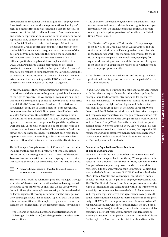association and recognizes the basic right of all employees to form trade unions and workers' representations. Employees' right to negative freedom of association is also respected. The recognition of the right of all employees to form trade unions and workers' representations also includes the value chain and represents a key component of the Social Charter. The scope of the Social Charter extends to Volkswagen AG and the Volkswagen Group's controlled companies. The principles of the Social Charter were also integrated as a component of the sustainability requirements in the supply chain and in the Volkswagen Code of Conduct for Business Partners. Due to different political and legal conditions, implementation of the OECD and ILO standards at all global production sites is not possible to the same extent as in the European Union. Freedom of association is realized in compliance with the laws applicable in the various countries and locations. A particular challenge therefore arises in states that have not signed the ILO Convention on Freedom of Association and Protection of the Right to Organize.

In order to navigate the tension between the different national conditions and the interest in the greatest possible achievement of the right to organize, the Volkswagen Group relies on a long tradition of also organizing company labor relations in countries in which the ILO Convention on Freedom of Association and Protection of the Right to Organize has not been recognized. Concrete examples include Volkswagen do Brasil Indústria de Veículos Automotores Ltda., ŠKODA AUTO Volkswagen India Private Limited and Ducati Motor (Thailand) Co., Ltd., where an approach to cooperation that goes well beyond the legal framework is taken. Cases of discrimination due to membership of a trade union can be reported in the Volkswagen Group's whistleblower system. These cases have, to date, not been recorded as separate statistics as the recording of discrimination incidents does not differentiate between the causes of the discrimination.

The Volkswagen Group is aware that ESG-related controversies – including with regard to the protection of employee rights – are becoming increasingly important in investors' decisions. To make how we deal with current and ongoing controversies transparent, the Group has provided its own information online.

# $\Box$  > www.volkswagenag.com > Investor Relations > Corporate Governance > ESG Controversies

The form of our working relationships is also managed through a number of charters and declarations that we have agreed with the Group European Works Council and Global Group Works Council. These give our employees security with regard to their collective rights at the workplace and set out the principles of the Volkswagen Group's labor policy. Together with the codetermination committees or the employee representatives, we implement these agreements at the respective sites. They include:

• The Declaration on Social Rights and Industrial Relations at Volkswagen (Social Charter), which is geared to the relevant ILO conventions

- The Charter on Labor Relations, which sets out additional information, consultation and codetermination rights for employee representatives of the brands, companies and locations represented by the Group European Works Council and the Global Group Works Council
- The Charter on Temporary Work, in which Group management as well as the Group European Works Council and the Global Group Works Council have agreed on principles relating to temporary work – for example, guide values for the ratio of temporary to permanent employees, equal pay (for equal work), training measures and the limitation of employment periods with a subsequent review as to whether to take on the employee permanently
- The Charter on Vocational Education and Training, in which professional training is anchored as a central part of Charter on Labor Relations

In addition, there are a number of locally applicable agreements with the relevant responsible trade unions that stipulate, for example, standards for further training and for preventive healthcare measures. These fundamental standards and agreements underpin the rights of employees and their elected representatives at Group level in the Group European Works Council and the Global Group Works Council. Executive managers and employee representatives meet regularly to consult on relevant issues. All members of the Group European Works Council and the Global Group Works Council attend at least one joint session of the two works councils every year. As well as discussing the current situation at the various sites, the respective HR managers and Group executive management also share information about product and workforce plans as well as social welfare and personnel standards.

# **Cooperative Organization of Labor Relations at Brands and Companies**

We want to enable the most comprehensive representation of employee interests possible in our Group. We cooperate with the relevant trade unions all over the world. Many companies in the Group also have a supervisory board on which the workforce is represented. In this way, Volkswagen's Commercial Vehicle division, with the holding company TRATON SE and its subsidiaries MAN, Scania, Navistar and Volkswagen Caminhões e Ônibus, enables far-reaching participation of employee representatives. The TRATON SE Works Council can, for example, exercise extensive rights of information and consultation within the framework of a participation agreement between the board of management and employee representatives. The agreement also regulates the equal representation of employee representatives in the highest body of TRATON SE – the supervisory board. Scania also has a European works council with participation rights, the SEC (Scania European Committee). In addition, Scania has introduced a global corporate policy that regulates minimum standards such as working hours, weekly rest periods, vacation time and sick leave for its employees. Moreover, the Swedish truck brand is an active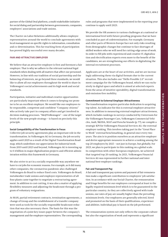partner of the Global Deal platform, a multi-stakeholder initiative for social dialog and partnership between governments, companies, employers' associations and trade unions.

The Charter on Labor Relations additionally allows employee representatives around the world to conclude agreements with local management on specific rights to information, consultation and co-determination. This far-reaching form of participation has proved highly successful over many decades.

#### **FAIR AND ATTRACTIVE EMPLOYER**

We believe that an attractive employer is first and foremost a fair employer. That is why we adhere to the relevant national legal standards when dealing with all matters that affect our personnel. However, in line with our tradition of social partnership and the balancing of interests, we go beyond these standards; we would like to allow all our employees throughout the world to share in Volkswagen's social achievements and its high work and social standards.

Participation, initiative and individual creative opportunities are particularly important when it comes to keeping our promise to be an excellent employer. We would like our employees to be responsible, competent and confident "Company citizens" who actively take part in company affairs and get involved in decision-making processes. "Me@Volkswagen" – one of the target levels of the new people strategy – is based on precisely this principle.

#### **Social Compatibility of the Transformation in Focus**

Collective job security agreements play an important role in the transformation. In Volkswagen AG in Germany, the job security applies until 2029 as a result of the Digital Transformation Roadmap, which underlines our appreciation for industrial work. From 2019 until 2023 and beyond, Volkswagen AG is investing up to €4 billion in major digitalization projects and efficient administration within this framework in Germany.

We also strive to act in a socially responsible way anywhere we have to cut jobs for economic reasons. For example, as it did many other companies, the coronavirus pandemic also challenged Volkswagen do Brasil to reduce fixed costs. Volkswagen do Brasil, metalworker trade unions and employee representatives of all four plants came together to negotiate a restructuring agreement. In addition to cost-cutting, it was also a matter of applying flexibility measures and adjusting the headcount through a program of voluntary resignations.

At MAN, partial retirement contracts, termination agreements, a change of Group and the establishment of a transfer company were used as tools for the socially responsible headcount reduction that was also necessary there. The basis for this was the negotiation of a joint key issues paper between the company's management and the employee representatives. The corresponding rules and programs that were implemented in the reporting year continue to apply until 2023.

We provide the HR answers to various challenges at a national or international level with future-proofing programs that we have concluded as part of codetermination. For example, Germany and other parts of Western Europe face not only risks resulting from demographic changes but continue to face shortages of skilled workers who we will need for cutting-edge areas of work. In order to fill jobs with experienced and creative IT, digitalization and electrification experts even more to the benefit of the candidates, we are strengthening our efforts in digitalizing the internal recruitment processes.

Applicants are at the heart of our activities, and we are increasingly addressing them via digital formats due to the current situation. This also includes our "Hello Possible 2.0" recruitment campaign for the Volkswagen brand, which we ran exclusively in digital space and which is aimed at selected experts from the areas of intuitive operability, digital transformation and emission-free mobility.

#### **Commitment to External Employer Attractiveness**

The transformation requires particular dedication to acquiring top talent. An indicator for this is external employer attractiveness. In addition to measuring external employer attractiveness, which includes rankings in surveys conducted by Universum for the Volkswagen Passenger Cars, Volkswagen Commercial Vehicles, Audi, ŠKODA, SEAT and Porsche brands (p. 77), we compile a strategic KPI for Volkswagen Financial Services AG: the external employer ranking. This involves taking part in the "Great Place to Work" external benchmarking, in general once every two years. The aim is to position ourselves as an attractive employer and derive appropriate measures to achieve a ranking among the top 20 employers by 2025 – not just in Europe, but globally. For 2023, we plan to participate in this ranking on a global scale. In competition with other European employers, we achieved that targeted top 20 ranking. In 2021, Volkswagen Financial Services AG was represented in further national and international best-employer rankings.

#### **Fair and Transparent Pay**

A fair and transparent pay system and payment of fair remuneration make a significant contribution to employees' job satisfaction. In accordance with our Social Charter, the remuneration and fringe benefits for our employees correspond at least to the legally required minimum level which is to be guaranteed in the particular country. As they are collectively agreed with trade unions, our rates of pay are usually higher than the prevailing minimum levels. Our employees are generally selected, hired and promoted on the basis of their qualifications, experience and abilities. Individual pay is based on the job performed.

The remuneration system not only reflects the corporate culture but also the organization of work and represents a significant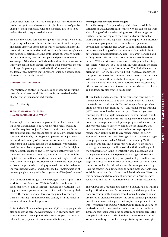competitive factor for the Group. The gradual transition from old product range to new also comes into play in matters of pay. For example, changes in work, roles and expertise also need to be reclassified with respect to their value.

Employees of Group companies enjoy further Company benefits. Depending on location, these may include subsidized transport and meals, employee terms at cooperation partners and discounts on certain leisure activities. Additional healthcare or supplementary pension benefits may round off the range of company benefits at specific sites. By offering occupational pension schemes, Volkswagen AG and many of its brands and subsidiaries make an important contribution towards securing their employees' income in old age. Employee participation in the Company's success in the form of an employee share program – such as a stock option plan – is not currently offered.

#### **DIVERSITY AND INCLUSION**

Information on strategies, measures and programs, including on enabling a better work/life balance is summarized in the chapter on the focus topic of diversity.

 $\boxed{=}$  > Diversity

#### **TRANSFORMATION-ORIENTED HUMAN CAPITAL DEVELOPMENT**

As an employer, we want our employees to be able to work creating value at workplaces in our Group for their entire working lives. This requires not just for them to retain their health, but also adjusting skills and capabilities to the quickly changing environment. That is why training our employees and adjustment to new work and career profiles is a key action area in the workforce transformation. This is because the comprehensive specialist qualifications of our employees remain the basis for the highest technological excellence. The electrification of the vehicle fleet, the transition towards connected, autonomous driving and the digital transformation of our Group mean that employees already need very different qualifications today. We handle these changes with our comprehensive training system with its individual training measures, which is also part of the gradual implementation of our new people strategy with the target focus of "Me@Volkswagen".

Dual vocational training at the Volkswagen Group supports the workforce transformation. With its flexible combination of practical activities and theoretical knowledge, vocational training prepares our young professionals for the forthcoming challenges. On an international level, we are guided by the high German training standards but also comply with the relevant national standards and regulations.

In 2021, the Volkswagen Group trained 17,151 young people. We also support the career development of new entrants once they have completed their apprenticeship. For example, particularly talented young specialists are nurtured in talent groups.

#### **Training Skilled Workers and Managers**

At the Volkswagen Group Academy, which is responsible for vocational and advanced training, skilled workers can choose from a broad range of advanced training courses. These range from further training on topics of the future and occupational or cross-disciplinary areas of general interest to specific qualifications in vocational groups and even comprehensive personnel development programs. The COVID-19 pandemic meant that only a restricted range of options was available again in 2021, particularly in multidisciplinary areas. This went hand in hand with a greater shift from classroom seminars to online seminars. In 2021, a start was also made on creating a new learning ecosystem, which will be used to continuously expand the learning options through a platform solution. The "Individual career orientation" (ICO) module offers all Volkswagen AG employees the opportunity to reflect on career goals, interests and personal skills and compare these with the development opportunities in the Group. Various methods of self-reflection or assessment by others, practical exercises, literature recommendations, seminars and podcasts are also offered in a toolkit.

The leadership and management programs and training were further developed in 2021 and their content updated to adapt them to future requirements. The Volkswagen Passenger Cars brand's foreman base training (FBT) and manager base training (MBT) were revised in the reporting year. The manager base training has also had agile management content added. In addition, there is a program for future managers of the Volkswagen brand, the management development program, which focuses on corporate culture, diversity, compliance & integrity, and personal responsibility. Two new modules train prospective managers on agility in day-to-day management. For newly appointed managers of the Volkswagen brand, the new management program launched in 2020 with the company Malik St. Gallen was continued in the reporting year. Its objective is to strengthen managers' ability to deal with the challenges of the transformation using scientifically based leadership and management models. For experienced managers, the Groupwide senior management program provides high-quality knowledge from research and practice with focuses on customer focus, innovation and leadership, which have been supplemented by learning content including design thinking methods, tools such as Triple Impact and Lean Canvas, and decision biases. We set up this human capital development program with Paris business school HEC and the Potsdam Hasso Plattner Institute Academy.

The Volkswagen Group has also compiled a decentralized training and qualifications catalog for its managers, and these qualifications are conceptually designed by individual brands and can be used by other brands. For example, the Group Leadership Academy provides seminars that support and inspire management in the transformation of the Group with the Group Training Catalog for Leadership and Transformation. Under coronavirus conditions, 160 managers took part in nine pilot training courses across the Group in fiscal year 2021. This builds on the enormous stock of know-how and experience for manager training, uses synergies

**72**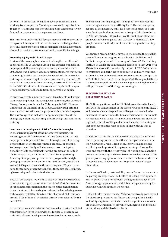between the brands and expands knowledge transfer and networking. For example, the "Building a sustainable organization. Together." training teaches how sustainability can be proactively factored into operational management decisions.

The Transform Leadership 2030 program provides the opportunity to explore all the aspects of the transformation in dialog with experts and members of the Board of Management in eight core modules and, in particular, to deepen technology-specific knowledge.

#### **Promoting Agility and Cultural Change**

In view of the many upheavals and to strengthen a culture of cooperation, the Volkswagen Group puts a special emphasis on employees' ability to act agilely and entrepreneurially. Until 2020, there was, however, a lack of uniform standards that define concrete agile skills. We therefore developed a skills matrix for training in the area of agile business processes together with 30 major listed companies from Germany, Austria and Switzerland in the DACH30 initiative. In the course of this, the Volkswagen Group Academy established a training portfolio on agility.

In order to actively support divisions, departments and project teams with implementing strategic realignments, the Culture & Change Factory was founded at Volkswagen in 2021. The new unit under the umbrella of the Group Academy supports and steers various transformation projects with around 40 experts. The team's expertise includes change management, culture change, agile training, coaching, process design and continuing training.

#### **Investment in Development of Skills for New Technologies**

In the current upheaval of the automotive industry, the Volkswagen Group's particular training focus is on training employees on important future technologies and closely supporting them in the transformation process. For example, Volkswagen specifically added new courses on the topic of e-mobility to its professional training program at the site in Chattanooga, USA, with the aid of the Volkswagen Group Academy. It largely comprises the two program lines highvoltage qualification and automation qualification, which had around 3,000 participants in the reporting year. We plan to expand the training programs to include the topics of 3D printing, cybersecurity and robotics in the future.

By 2023, Volkswagen AG wants to create at least 2,000 new jobs connected to digitalization at its traditional West German sites. For the HR transformation in the course of the digitalization drive, the Group is increasing its training budget relating to new technologies by  $\in$  40 million to a total of around  $\in$  200 million, around  $\epsilon$  126 million of which had already been released by the end of 2021.

In particular , we are broadening the knowledge base for the digital transformation in the Group with the Faculty 73 program. We train 100 software developers each year here for our own needs.

The two-year training program is designed for employees and external applicants with an affinity for IT. The future experts acquire all the necessary skills for a successful career as a software developer in the automotive industry within the training. In 2021, we placed all 94 graduates of the first phase of the program within Volkswagen AG and CARIAD. In March 2021, 100 people became the third year of students to begin the training program.

Volkswagen AG and CARIAD have also encouraged the establishment of innovative programming schools in Wolfsburg and Berlin in cooperation with the non-profit École 42. The training institute in Wolfsburg commenced operations in May 2021 with 170 students from 30 countries. By the end of 2022, 600 students in Wolfsburg and Berlin are to be admitted and learn from and with each other in line with an innovative training concept. Like at École 42 in Paris, the free training at 42Wolfsburg and 42Berlin is also open to applicants who have not graduated high school or college, irrespective of their age, sex or origin.

#### **PREVENTIVE HEALTH AND OCCUPATIONAL SAFETY**

The Volkswagen Group and its HR division continued to have to deal with the consequences of the coronavirus pandemic in 2021 and therefore had to respond to challenges that needed to be handled at the same time as the transformation work. For example, HR repeatedly had to deal with production downtime caused by regional outbreaks of the pandemic and adapt activities to protect employees at the various sites in line with the threat situation.

In addition to this central task currently facing us, we are further expanding preventive health and occupational safety in the Volkswagen Group. This is because physical and mental well-being are important if employees are to perform well at work and cope with the stress typical of working in a changing production company. We have also committed ourselves to this goal of promoting optimum health within the framework of the Group people strategy under the "Me@Volkswagen" target dimension.

In the area of health, sustainability means for us that we want to help every employee to retire healthy. This long-term approach also helps our Group to cope with demographic change in the form of an aging population, which is now typical of many industrial countries in which we operate.

Holistic health management at Volkswagen already goes beyond the statutory preventive healthcare and occupational health and safety requirements. It also includes aspects such as work organization, ergonomics, prevention, integration and rehabilitation, along with leadership culture.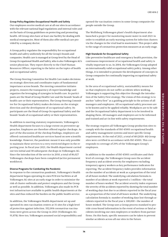#### **Group Policy Regulates Occupational Health and Safety**

Our employees receive medical care at all our sites in accordance with the relevant national legal regulations and internal rules and on the basis of Group guidelines on protecting and promoting health. All Group sites have at least one facility for dealing with medical emergencies. Most of them also offer medical care provided by a company doctor.

A Group policy regulates the responsibility for occupational health and safety uniformly for all the Group's brands and companies. Health care is managed at Group level by the Head of Group Occupational Health and Safety, who is also Volkswagen AG's senior physician. They report directly to the Chief Human Resources Officer, reporting to the latter on the topics of health and occupational safety.

The Group Steering Committee for Health Care makes decisions on strategic direction and coordinates topics of fundamental importance across brands. The steering committee initiates projects, ensures the transparency of expert knowledge and organizes the leveraging of synergies in health care. Its participants are the Head of Group Health Care and the brands' heads of health care or their representatives. The Group Steering Committee for Occupational Safety makes decisions on the strategic direction and the development of occupational safety. Its participants are the Head of Group Occupational Safety and the brands' heads of occupational safety or their representatives.

In addition to meeting statutory requirements, Volkswagen's Health department focuses to a large extent on preventive approaches. Employees are therefore offered regular checkups. As part of the discussion of the checkup findings, employees are offered customized healthcare services based on new scientific knowledge. However, the pandemic meant it was only possible to maintain these services to a very restricted degree in the reporting year. In fiscal year 2021, the Health department carried out ten initial and 38 subsequent checkups in Volkswagen AG. Since the introduction of the service in 2010, a total of 86,027 Volkswagen checkups have been completed (active permanent workforce).

#### **Diverse Programs for Combating the Pandemic**

In response to the coronavirus pandemic, Volkswagen's Health department began operating its own PCR test facilities at all Volkswagen AG sites at an early stage in order to minimize the risk of cluster outbreaks and protect employees and the Group as well as possible. In addition, Volkswagen also made its PCR test infrastructure available to public health departments at the sites and thus reduced the burden on the public health service.

In addition, the Volkswagen Health department set up and operated its own vaccination centers at 31 sites for a high level of protection against infection. 332,004 coronavirus vaccinations were given across the Group in 2021 (Volkswagen AG: 91,874). Here too, Volkswagen assumed social responsibility and opened the vaccination centers in some Group companies for people outside the Group.

The Wolfsburg Volkswagen plant's health department also launched a project for monitoring waste water in mid 2021 in order to establish an early warning system for infection clusters via the changes in the viral load in wastewater. This project adds to the range of coronavirus protection measures at an early stage.

# **High Standards for Occupational Safety**

Like preventive healthcare and emergency health provision, the continuous improvement of occupational health and safety is vitally important to us. In 2004, the Volkswagen Group adopted an internationally valid occupational safety policy. Among other things, it is intended to promote the development of concepts in Group companies for continually improving occupational safety at work.

In the area of occupational safety, sustainability means for us that employees do not suffer accidents when working. Volkswagen is supporting this objective through the introduction of the Safety First strategy. The vision of this strategy is to anchor "safety first" as a guiding principle in the actions of all managers and employees. All occupational safety processes are to be known and to be applied reliably. Workplaces are to be safe and the Occupational Safety department is to be involved in shaping them. All managers and employees are to be informed and trained and act in line with safety requirements.

The strategy requires all Volkswagen Group production sites to comply with the standards of ISO 45001 occupational health and safety management systems and more specific Group requirements. At the end of 2021, a total of 48 (2020: 46) Group sites were certified in accordance with ISO 45001. This corresponds to coverage of 29% of the Volkswagen Group's employees.

In addition to the number of ISO 45001 certificates and their level of coverage, the Volkswagen Group uses the accident frequency and accident severity for employees excluding temporary agency workers as key performance indicators for reporting. The accident frequency index provides information on the number of accidents at work as a proportion of the total of all hours worked. The underlying calculation formula is: number of accidents at work reported x 1 million ÷ the total number of hours worked. The accident severity index expresses the severity of the accidents reported by showing the total number of working days lost due to accidents reported in the fiscal year as a proportion of the total of all hours worked. The underlying calculation formula is: number of working days lost through accidents reported in the fiscal year  $x$  100,000 ÷ the number of hours worked. The Group uses a Group process standard to provide cross-brand information in the event of serious or fatal accidents involving our own employees or workers from partner firms. On this basis, specific measures can be taken to prevent similar accidents across all our sites in the future.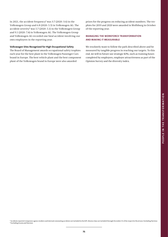In 2021, the accident frequency<sup>1</sup> was 3.7 (2020: 3.6) in the Volkswagen Group and 6.8 (2020: 5.5) in Volkswagen AG. The accident severity<sup>1</sup> was 5.7 (2020: 5.1) in the Volkswagen Group and 9.1 (2020: 7.4) in Volkswagen AG. The Volkswagen Group and Volkswagen AG recorded one fatal accident involving our own employees in the reporting year.

#### **Volkswagen Sites Recognized for High Occupational Safety**

The Board of Management awards occupational safety trophies each year for the best plant in the Volkswagen Passenger Cars brand in Europe. The best vehicle plant and the best component plant of the Volkswagen brand in Europe were also awarded

prizes for the progress on reducing accident numbers. The trophies for 2019 and 2020 were awarded in Wolfsburg in October of the reporting year.

# **MANAGING THE WORKFORCE TRANSFORMATION AND MAKING IT MEASURABLE**

We resolutely want to follow the path described above and be measured by tangible progress in reaching our targets. To this end, we will in future use strategic KPIs, such as training hours completed by employees, employer attractiveness as part of the Opinion Survey and the diversity index.

1 Accidents reported: temporary agency workers and internal commuting accidents not included in the KPI. Absence days are included through December 31 of the respective fiscal year. Excluding Navistar. <sup>2</sup> Excluding Scania and Navistar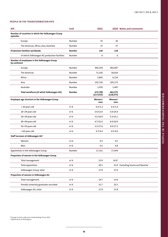**PEOPLE IN THE TRANSFORMATION**

PEOPLE IN THE TRANSFORMATION

# **PEOPLE IN THE TRANSFORMATION KPIS**

| <b>KPI</b>                                                    | Unit          | 2021                  |                       | 2020 Notes and comments            |
|---------------------------------------------------------------|---------------|-----------------------|-----------------------|------------------------------------|
| Number of countries in which the Volkswagen Group<br>operates |               |                       |                       |                                    |
| Europe                                                        | Number        | 35                    | 36                    |                                    |
| The Americas, Africa, Asia, Australia                         | Number        | 37                    | 37                    |                                    |
| <b>Production facilities worldwide</b>                        | <b>Number</b> | 120                   | 118                   |                                    |
| of which Volkswagen AG production facilities                  | Number        | 6                     | 6                     |                                    |
| Number of employees in the Volkswagen Group<br>by continent   |               |                       |                       |                                    |
| Europe                                                        | Number        | 492,559               | 492,907               |                                    |
| The Americas                                                  | Number        | 71,192                | 56,914                |                                    |
| Africa                                                        | Number        | 5,842                 | 6,134                 |                                    |
| Asia                                                          | Number        | 101,726               | 105,173               |                                    |
| Australia                                                     | Number        | 1,470                 | 1,447                 |                                    |
| Total workforce (of which Volkswagen AG)                      | <b>Number</b> | 672,789<br>(117, 633) | 662,575<br>(118, 673) |                                    |
| Employee age structure in the Volkswagen Group                |               | Women/<br>men         | Women/<br>men         |                                    |
| < 20 years old                                                | in %          | 0.3/1.3               | 0.3/1.4               |                                    |
| 20-29 years old                                               | in $%$        | 3.4/13.0              | 3.4/14.4              |                                    |
| 30-39 years old                                               | in %          | 5.5/24.9              | 5.3/25.1              |                                    |
| 40-49 years old                                               | in $%$        | 4.7/21.0              | 4.4/20.9              |                                    |
| 50-59 years old                                               | in %          | 3.3/17.6              | 3.0/17.2              |                                    |
| > 60 years old                                                | in %          | 0.7/4.4               | 0.5/4.0               |                                    |
| Staff turnover at Volkswagen AG <sup>1</sup>                  |               |                       |                       |                                    |
| Women                                                         | in $%$        | 0.5                   | 0.5                   |                                    |
| Men                                                           | in %          | 0.5                   | 0.8                   |                                    |
| Apprentices in the Volkswagen Group                           | Number        | 17,151                | 17,939                |                                    |
| Proportion of women in the Volkswagen Group                   |               |                       |                       |                                    |
| Total management                                              | in %          | 15.9                  | 14.9 <sup>2</sup>     |                                    |
| <b>Total apprentices</b>                                      | in %          | 20.1                  |                       | 22.9 Excluding Scania and Navistar |
| Volkswagen Group, total                                       | in %          | 17.9                  | 17.0                  |                                    |
| Proportion of women in Volkswagen AG                          |               |                       |                       |                                    |
| Total management                                              | in %          | 14.7                  | 13.9                  |                                    |
| Female university graduates recruited                         | in %          | 31.7                  | 32.5                  |                                    |
| Volkswagen AG, total                                          | in %          | 17.9                  | 17.8                  |                                    |

<sup>1</sup> Change in data collection methodology from 2021.<br><sup>2</sup> Adjustment of 2020 figure.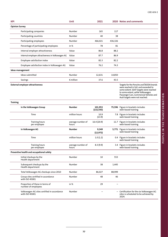| <b>KPI</b>                                                    | Unit                       | 2021                  |         | 2020 Notes and comments                                                                                                                                                                                                                      |
|---------------------------------------------------------------|----------------------------|-----------------------|---------|----------------------------------------------------------------------------------------------------------------------------------------------------------------------------------------------------------------------------------------------|
| <b>Opinion Survey</b>                                         |                            |                       |         |                                                                                                                                                                                                                                              |
| Participating companies                                       | Number                     | 165                   | 117     |                                                                                                                                                                                                                                              |
| Participating countries                                       | Number                     | 40                    | 38      |                                                                                                                                                                                                                                              |
| Participating employees                                       | Number                     | 466,021               | 436,326 |                                                                                                                                                                                                                                              |
| Percentage of participating employees                         | in %                       | 78                    | 81      |                                                                                                                                                                                                                                              |
| Internal employer attractiveness                              | Value                      | 86.8                  | 88.2    |                                                                                                                                                                                                                                              |
| Internal employer attractiveness in Volkswagen AG             | Value                      | 87.7                  | 86.9    |                                                                                                                                                                                                                                              |
| Employee satisfaction index                                   | Value                      | 82.3                  | 82.2    |                                                                                                                                                                                                                                              |
| Employee satisfaction index in Volkswagen AG                  | Value                      | 76.2                  | 74.3    |                                                                                                                                                                                                                                              |
| Ideas management                                              |                            |                       |         |                                                                                                                                                                                                                                              |
| Ideas submitted                                               | Number                     | 12,631                | 14,850  |                                                                                                                                                                                                                                              |
| Savings                                                       | $\epsilon$ million         | 37.6                  | 43.5    |                                                                                                                                                                                                                                              |
| <b>External employer attractiveness</b>                       |                            |                       |         | Targets for the Porsche and SKODA brands<br>were reached in full, and exceeded to<br>some extent. SEAT targets were reached<br>to some extent, while Volkswagen<br>Passenger Cars, Commercial Vehicles and<br>Audi targets were not reached. |
| <b>Training</b>                                               |                            |                       |         |                                                                                                                                                                                                                                              |
| in the Volkswagen Group                                       | Number                     | 101,953<br>(132, 543) |         | 75,596 Figure in brackets includes<br>web-based training                                                                                                                                                                                     |
| Time                                                          | million hours              | 10.9<br>(13.9)        |         | 7.8 Figure in brackets includes<br>web-based training                                                                                                                                                                                        |
| Training hours<br>per employee                                | average number of<br>hours | 16.4 (20.9)           |         | 11.7 Figure in brackets includes<br>web-based training                                                                                                                                                                                       |
| in Volkswagen AG                                              | Number                     | 9,349<br>(12, 972)    |         | 5,771 Figure in brackets includes<br>web-based training                                                                                                                                                                                      |
| Time                                                          | million hours              | 1.0(1.2)              |         | 0.4 Figure in brackets includes<br>web-based training                                                                                                                                                                                        |
| <b>Training hours</b><br>per employee                         | average number of<br>hours | 8.3(9.9)              |         | 3.4 Figure in brackets includes<br>web-based training                                                                                                                                                                                        |
| Preventive health and occupational safety                     |                            |                       |         |                                                                                                                                                                                                                                              |
| Initial checkups by the<br>Health department                  | Number                     | 10                    | 553     |                                                                                                                                                                                                                                              |
| Subsequent checkups by the<br>Health department               | Number                     | 38                    | 1,445   |                                                                                                                                                                                                                                              |
| Total Volkswagen AG checkups since 2010                       | Number                     | 86,027                | 88,999  |                                                                                                                                                                                                                                              |
| Group sites certified in accordance<br>with ISO 45001         | Number                     | 48                    | 46      |                                                                                                                                                                                                                                              |
| Proportion of these in terms of<br>number of employees        | in %                       | 29                    |         |                                                                                                                                                                                                                                              |
| Volkswagen AG sites certified in accordance<br>with ISO 45001 | Number                     |                       |         | - Certification for the six Volkswagen AG<br>sites is scheduled to be achieved by<br>2024.                                                                                                                                                   |